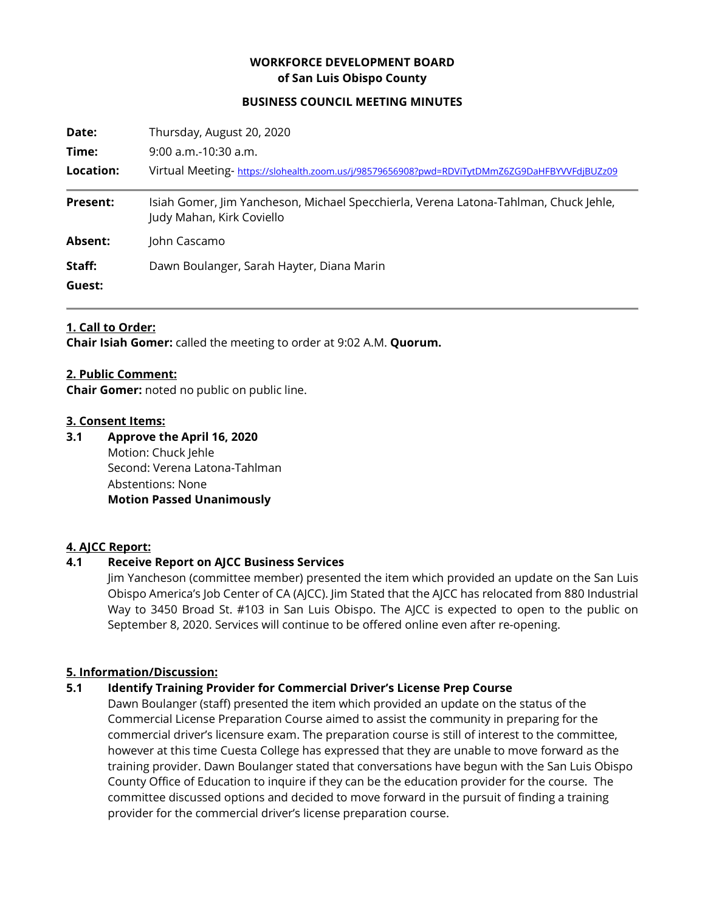# **WORKFORCE DEVELOPMENT BOARD of San Luis Obispo County**

#### **BUSINESS COUNCIL MEETING MINUTES**

| Date:           | Thursday, August 20, 2020                                                                                         |
|-----------------|-------------------------------------------------------------------------------------------------------------------|
| Time:           | $9:00$ a.m.-10:30 a.m.                                                                                            |
| Location:       | Virtual Meeting- https://slohealth.zoom.us/j/98579656908?pwd=RDViTytDMmZ6ZG9DaHFBYVVFdjBUZz09                     |
| <b>Present:</b> | Isiah Gomer, Jim Yancheson, Michael Specchierla, Verena Latona-Tahlman, Chuck Jehle,<br>Judy Mahan, Kirk Coviello |
| Absent:         | John Cascamo                                                                                                      |
| Staff:          | Dawn Boulanger, Sarah Hayter, Diana Marin                                                                         |
| Guest:          |                                                                                                                   |

#### **1. Call to Order:**

**Chair Isiah Gomer:** called the meeting to order at 9:02 A.M. **Quorum.**

#### **2. Public Comment:**

**Chair Gomer:** noted no public on public line.

#### **3. Consent Items:**

**3.1 Approve the April 16, 2020** Motion: Chuck Jehle Second: Verena Latona-Tahlman Abstentions: None **Motion Passed Unanimously**

### **4. AJCC Report:**

### **4.1 Receive Report on AJCC Business Services**

Jim Yancheson (committee member) presented the item which provided an update on the San Luis Obispo America's Job Center of CA (AJCC). Jim Stated that the AJCC has relocated from 880 Industrial Way to 3450 Broad St. #103 in San Luis Obispo. The AJCC is expected to open to the public on September 8, 2020. Services will continue to be offered online even after re-opening.

### **5. Information/Discussion:**

### **5.1 Identify Training Provider for Commercial Driver's License Prep Course**

Dawn Boulanger (staff) presented the item which provided an update on the status of the Commercial License Preparation Course aimed to assist the community in preparing for the commercial driver's licensure exam. The preparation course is still of interest to the committee, however at this time Cuesta College has expressed that they are unable to move forward as the training provider. Dawn Boulanger stated that conversations have begun with the San Luis Obispo County Office of Education to inquire if they can be the education provider for the course. The committee discussed options and decided to move forward in the pursuit of finding a training provider for the commercial driver's license preparation course.